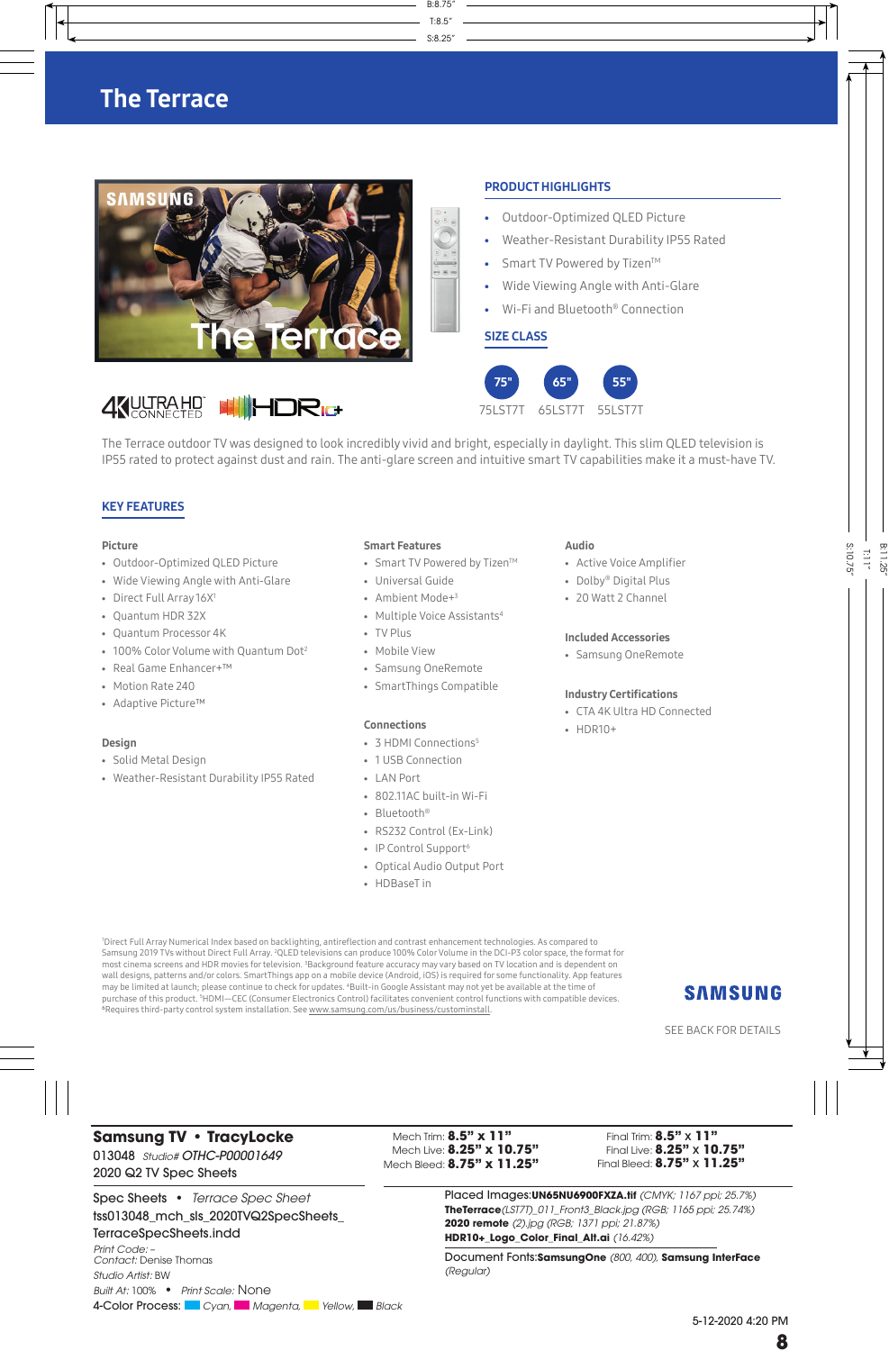

## **40ULTRAHD BULLERICH**

### PRODUCT HIGHLIGHTS

- Outdoor-Optimized QLED Picture
- Weather-Resistant Durability IP55 Rated
- Smart TV Powered by Tizen™
- Wide Viewing Angle with Anti-Glare
- Wi-Fi and Bluetooth® Connection

### SIZE CLASS



The Terrace outdoor TV was designed to look incredibly vivid and bright, especially in daylight. This slim QLED television is IP55 rated to protect against dust and rain. The anti-glare screen and intuitive smart TV capabilities make it a must-have TV.

S:8.25"

T:8.5"

B:8.75"

### KEY FEATURES

### Picture

- Outdoor-Optimized QLED Picture
- Wide Viewing Angle with Anti-Glare
- Direct Full Array 16X<sup>1</sup>
- Quantum HDR 32X
- Quantum Processor 4K
- 100% Color Volume with Quantum Dot<sup>2</sup>
- Real Game Enhancer+™
- Motion Rate 240
- Adaptive Picture™

### Design

- Solid Metal Design
- Weather-Resistant Durability IP55 Rated

### Smart Features

- Smart TV Powered by Tizen™
- Universal Guide
- Ambient Mode+3
- Multiple Voice Assistants<sup>4</sup>
- TV Plus
- Mobile View
- Samsung OneRemote
- SmartThings Compatible

#### Connections

- 3 HDMI Connections<sup>5</sup>
- 1 USB Connection
- LAN Port
- 802.11AC built-in Wi-Fi
- Bluetooth®
- RS232 Control (Ex-Link)
- IP Control Support<sup>6</sup>
- Optical Audio Output Port
- HDBaseT in
- <sup>1</sup>Direct Full Array Numerical Index based on backlighting, antireflection and contrast enhancement technologies. As compared to Samsung 2019 TVs without Direct Full Array. <sup>2</sup>QLED televisions can produce 100% Color Volume in the DCI-P3 color space, the format for most cinema screens and HDR movies for television. <sup>3</sup>Background feature accuracy may vary based on TV location and is dependent on wall designs, patterns and/or colors. SmartThings app on a mobile device (Android, iOS) is required for some functionality. App features may be limited at launch; please continue to check for updates. 4 Built-in Google Assistant may not yet be available at the time of purchase of this product. 5 HDMI—CEC (Consumer Electronics Control) facilitates convenient control functions with compatible devices. ⁶Requires third-party control system installation. See www.samsung.com/us/business/custominstall.

**SAMSUNG** 

S:10.75"

T:11"

B:11.25"

SEE BACK FOR DETAILS

### **Samsung TV • TracyLocke** 013048*Studio# OTHC-P00001649*

2020 Q2 TV Spec Sheets

Spec Sheets **•** *Terrace Spec Sheet* tss013048\_mch\_sls\_2020TVQ2SpecSheets\_ TerraceSpecSheets.indd *Print Code:* – *Contact:* Denise Thomas *Studio Artist:* BW *Built At:* 100% **•** *Print Scale:* None 4-Color Process: Color Cyan, Magenta, Yellow, Black

 Mech Trim: **8.5" x 11"** Mech Live: **8.25" x 10.75"**

 Final Trim: **8.5"** x **11"** Final Live: **8.25"** x **10.75"** Final Bleed: **8.75"** x **11.25"**

Placed Images:**UN65NU6900FXZA.tif** *(CMYK; 1167 ppi; 25.7%)* **TheTerrace***(LST7T)\_011\_Front3\_Black.jpg (RGB; 1165 ppi; 25.74%)* **2020 remote** *(2).jpg (RGB; 1371 ppi; 21.87%)* **HDR10+\_Logo\_Color\_Final\_Alt.ai** *(16.42%)*

Document Fonts:**SamsungOne** *(800, 400),* **Samsung InterFace**  *(Regular)*

Mech Bleed: **8.75" x 11.25"**

• CTA 4K Ultra HD Connected • HDR10+

Audio

• Active Voice Amplifier • Dolby® Digital Plus • 20 Watt 2 Channel

Included Accessories • Samsung OneRemote

Industry Certifications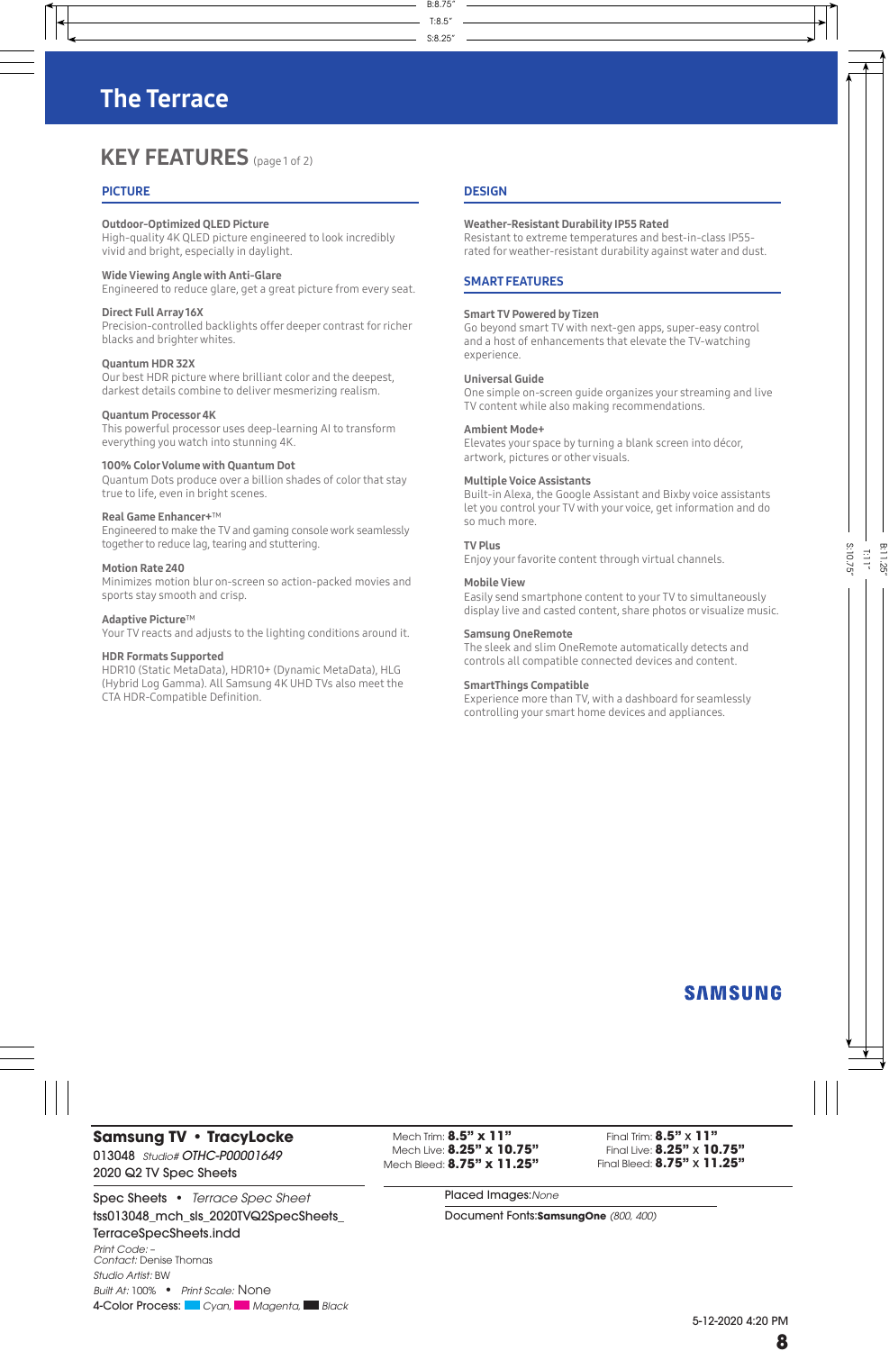## **KEY FEATURES** (page 1 of 2)

### **PICTURE**

### Outdoor-Optimized QLED Picture

High-quality 4K QLED picture engineered to look incredibly vivid and bright, especially in daylight.

### Wide Viewing Angle with Anti-Glare

Engineered to reduce glare, get a great picture from every seat.

### Direct Full Array 16X

Precision-controlled backlights offer deeper contrast for richer blacks and brighter whites.

### Quantum HDR 32X

Our best HDR picture where brilliant color and the deepest, darkest details combine to deliver mesmerizing realism.

#### Quantum Processor 4K

This powerful processor uses deep-learning AI to transform everything you watch into stunning 4K.

### 100% Color Volume with Quantum Dot

Quantum Dots produce over a billion shades of color that stay true to life, even in bright scenes.

### Real Game Enhancer+™

Engineered to make the TV and gaming console work seamlessly together to reduce lag, tearing and stuttering.

#### Motion Rate 240

Minimizes motion blur on-screen so action-packed movies and sports stay smooth and crisp.

### Adaptive Picture™

Your TV reacts and adjusts to the lighting conditions around it.

### HDR Formats Supported

HDR10 (Static MetaData), HDR10+ (Dynamic MetaData), HLG (Hybrid Log Gamma). All Samsung 4K UHD TVs also meet the CTA HDR-Compatible Definition.

### **DESIGN**

S:8.25"

T:8.5"

B:8.75"

### Weather-Resistant Durability IP55 Rated

Resistant to extreme temperatures and best-in-class IP55 rated for weather-resistant durability against water and dust.

### SMART FEATURES

### Smart TV Powered by Tizen

Go beyond smart TV with next-gen apps, super-easy control and a host of enhancements that elevate the TV-watching experience.

#### Universal Guide

One simple on-screen guide organizes your streaming and live TV content while also making recommendations.

#### Ambient Mode+

Elevates your space by turning a blank screen into décor, artwork, pictures or other visuals.

### Multiple Voice Assistants

Built-in Alexa, the Google Assistant and Bixby voice assistants let you control your TV with your voice, get information and do so much more.

### TV Plus

Enjoy your favorite content through virtual channels.

### Mobile View

Easily send smartphone content to your TV to simultaneously display live and casted content, share photos or visualize music.

### Samsung OneRemote

The sleek and slim OneRemote automatically detects and controls all compatible connected devices and content.

### SmartThings Compatible

Experience more than TV, with a dashboard for seamlessly controlling your smart home devices and appliances.

### **SAMSUNG**

S:10.75"

T:11"

B:11.25"

### **Samsung TV • TracyLocke**

013048*Studio# OTHC-P00001649* 2020 Q2 TV Spec Sheets

Spec Sheets **•** *Terrace Spec Sheet* tss013048\_mch\_sls\_2020TVQ2SpecSheets\_ TerraceSpecSheets.indd *Print Code:* – *Contact:* Denise Thomas *Studio Artist:* BW *Built At:* 100% **•** *Print Scale:* None 4-Color Process: *Cyan, Magenta, Black*

Mech Trim: **8.5" x 11"** Mech Live: **8.25" x 10.75"** Mech Bleed: **8.75" x 11.25"**

Final Trim: **8.5"** x **11"** Final Live: **8.25"** x **10.75"** Final Bleed: **8.75"** x **11.25"**

Placed Images:*None*

Document Fonts:**SamsungOne** *(800, 400)*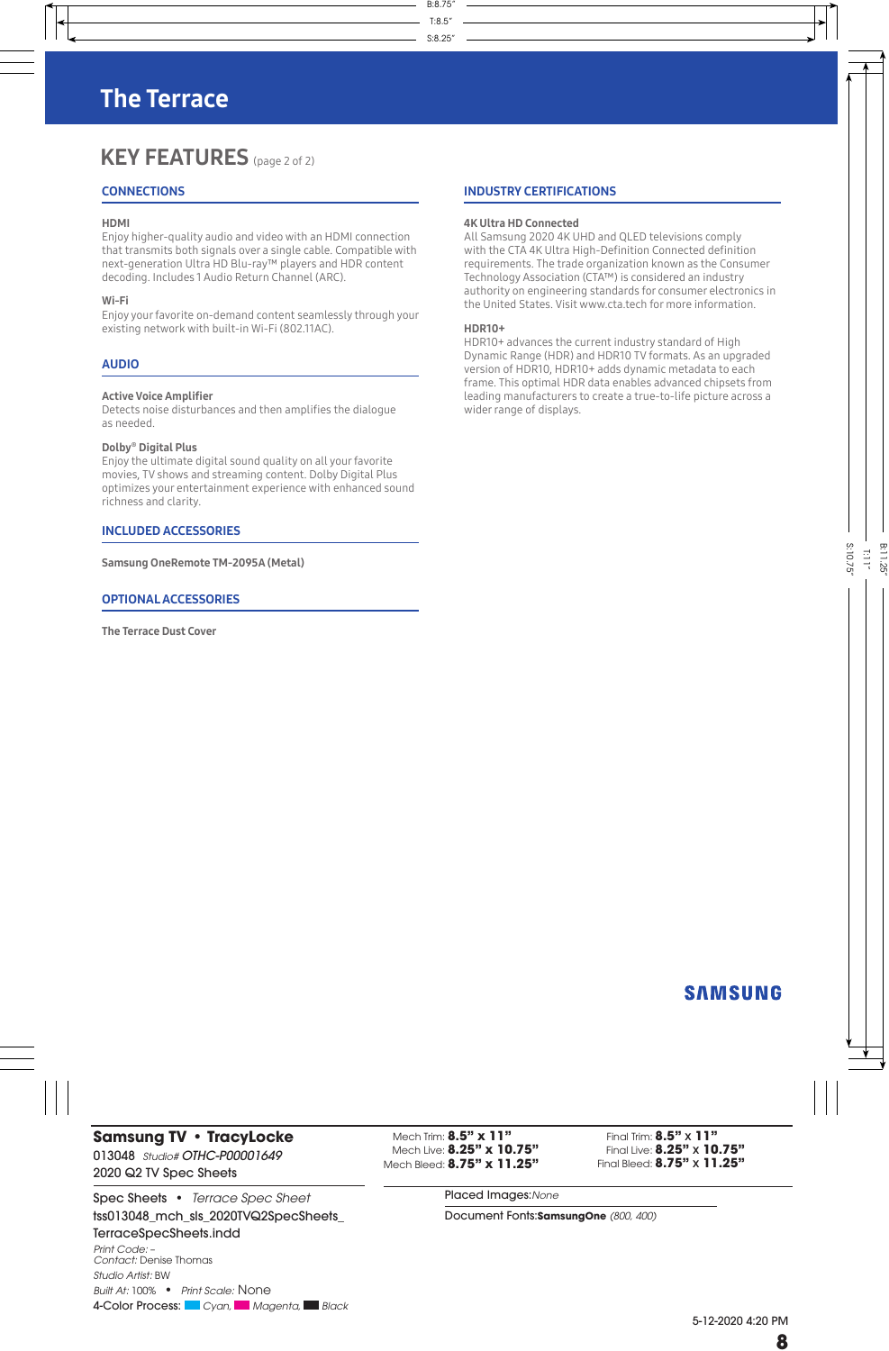## KEY FEATURES (page 2 of 2)

### **CONNECTIONS**

### HDMI

Enjoy higher-quality audio and video with an HDMI connection that transmits both signals over a single cable. Compatible with next-generation Ultra HD Blu-ray™ players and HDR content decoding. Includes 1 Audio Return Channel (ARC).

### Wi-Fi

Enjoy your favorite on-demand content seamlessly through your existing network with built-in Wi-Fi (802.11AC).

### AUDIO

### Active Voice Amplifier

Detects noise disturbances and then amplifies the dialogue as needed.

### Dolby® Digital Plus

Enjoy the ultimate digital sound quality on all your favorite movies, TV shows and streaming content. Dolby Digital Plus optimizes your entertainment experience with enhanced sound richness and clarity.

### INCLUDED ACCESSORIES

Samsung OneRemote TM-2095A (Metal)

### OPTIONAL ACCESSORIES

The Terrace Dust Cover

### INDUSTRY CERTIFICATIONS

### 4K Ultra HD Connected

All Samsung 2020 4K UHD and QLED televisions comply with the CTA 4K Ultra High-Definition Connected definition requirements. The trade organization known as the Consumer Technology Association (CTA™) is considered an industry authority on engineering standards for consumer electronics in the United States. Visit www.cta.tech for more information.

### HDR10+

S:8.25"

T:8.5"

B:8.75"

HDR10+ advances the current industry standard of High Dynamic Range (HDR) and HDR10 TV formats. As an upgraded version of HDR10, HDR10+ adds dynamic metadata to each frame. This optimal HDR data enables advanced chipsets from leading manufacturers to create a true-to-life picture across a wider range of displays.

### **SAMSUNG**

S:10.75"

T:11"

 $52.2$ 

## **Samsung TV • TracyLocke**

013048*Studio# OTHC-P00001649* 2020 Q2 TV Spec Sheets

Spec Sheets **•** *Terrace Spec Sheet* tss013048\_mch\_sls\_2020TVQ2SpecSheets\_ TerraceSpecSheets.indd *Print Code:* – *Contact:* Denise Thomas *Studio Artist:* BW *Built At:* 100% **•** *Print Scale:* None 4-Color Process: *Cyan, Magenta, Black*

Mech Trim: **8.5" x 11"** Mech Live: **8.25" x 10.75"** Mech Bleed: **8.75" x 11.25"**

Final Trim: **8.5"** x **11"** Final Live: **8.25"** x **10.75"** Final Bleed: **8.75"** x **11.25"**

Placed Images:*None*

Document Fonts:**SamsungOne** *(800, 400)*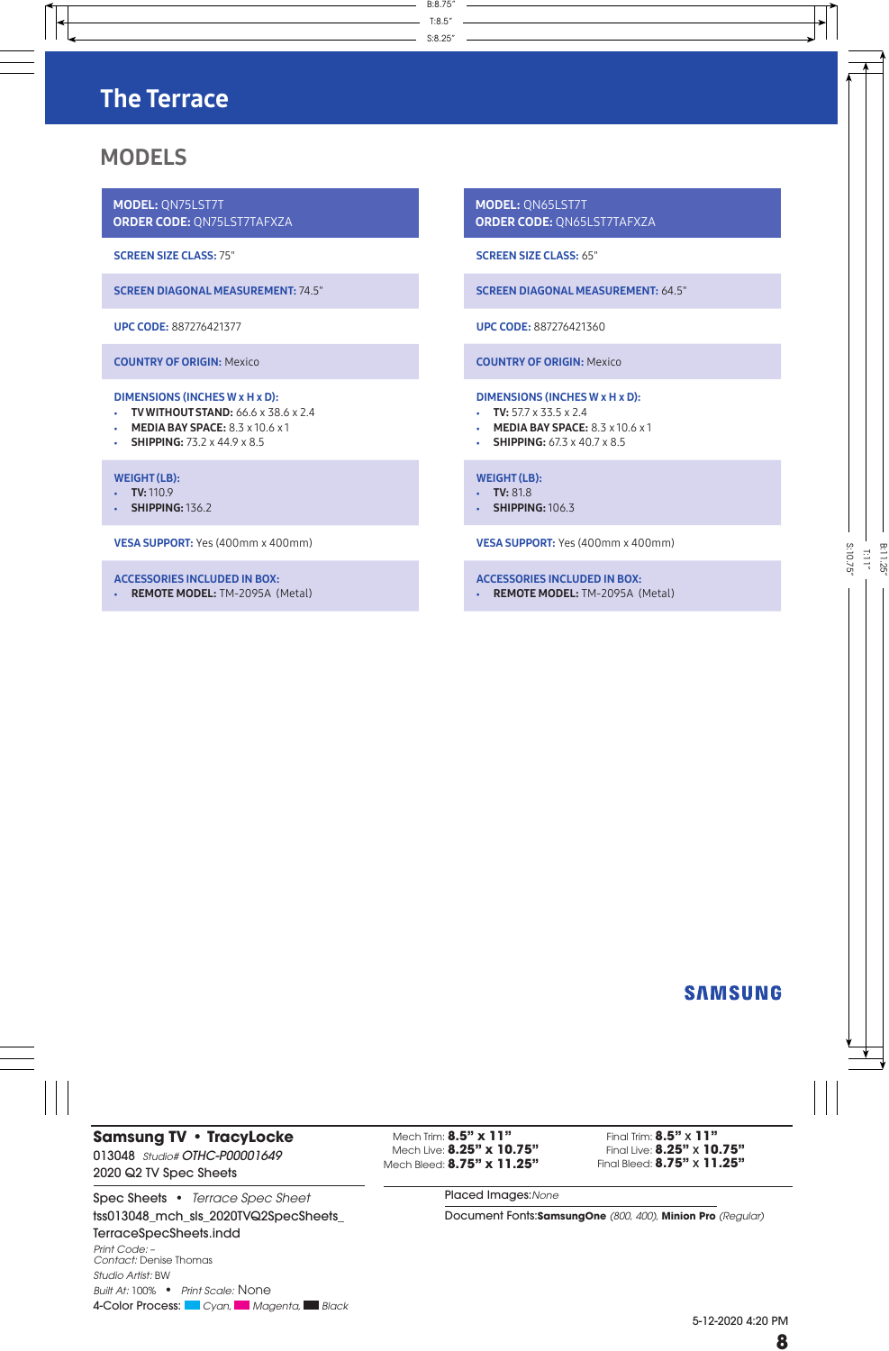## **MODELS**

MODEL: QN75LST7T ORDER CODE: QN75LST7TAFXZA

SCREEN SIZE CLASS: 75"

SCREEN DIAGONAL MEASUREMENT: 74.5"

UPC CODE: 887276421377

COUNTRY OF ORIGIN: Mexico

### DIMENSIONS (INCHES W x H x D):

• TV WITHOUT STAND: 66.6 x 38.6 x 2.4

- MEDIA BAY SPACE:  $8.3 \times 10.6 \times 1$
- SHIPPING:  $73.2 \times 44.9 \times 8.5$

### WEIGHT (LB):

- $TV: 110.9$
- **SHIPPING:** 136.2

VESA SUPPORT: Yes (400mm x 400mm)

### ACCESSORIES INCLUDED IN BOX:

• REMOTE MODEL: TM-2095A (Metal)

MODEL: QN65LST7T ORDER CODE: QN65LST7TAFXZA

SCREEN SIZE CLASS: 65"

S:8.25"

T:8.5"

B:8.75"

### SCREEN DIAGONAL MEASUREMENT: 64.5"

UPC CODE: 887276421360

### COUNTRY OF ORIGIN: Mexico

### DIMENSIONS (INCHES W x H x D):

- TV: 57.7  $\times$  33.5  $\times$  2.4
- MEDIA BAY SPACE: 8.3 x 10.6 x 1
- SHIPPING:  $67.3 \times 40.7 \times 8.5$

### WEIGHT (LB):

- TV: 81.8 • **SHIPPING:** 106.3
- 

VESA SUPPORT: Yes (400mm x 400mm)

### ACCESSORIES INCLUDED IN BOX:

• REMOTE MODEL: TM-2095A (Metal)

### **SAMSUNG**

S:10.75"

T:11"

₩.

.<br>25

### **Samsung TV • TracyLocke**

013048*Studio# OTHC-P00001649* 2020 Q2 TV Spec Sheets

Mech Trim: **8.5" x 11"** Mech Live: **8.25" x 10.75"** Mech Bleed: **8.75" x 11.25"**

Final Trim: **8.5"** x **11"** Final Live: **8.25"** x **10.75"** Final Bleed: **8.75"** x **11.25"**

Spec Sheets **•** *Terrace Spec Sheet* tss013048\_mch\_sls\_2020TVQ2SpecSheets\_ TerraceSpecSheets.indd *Print Code:* – *Contact:* Denise Thomas *Studio Artist:* BW *Built At:* 100% **•** *Print Scale:* None 4-Color Process: *Cyan, Magenta, Black* 

### Placed Images:*None*

Document Fonts:**SamsungOne** *(800, 400),* **Minion Pro** *(Regular)*